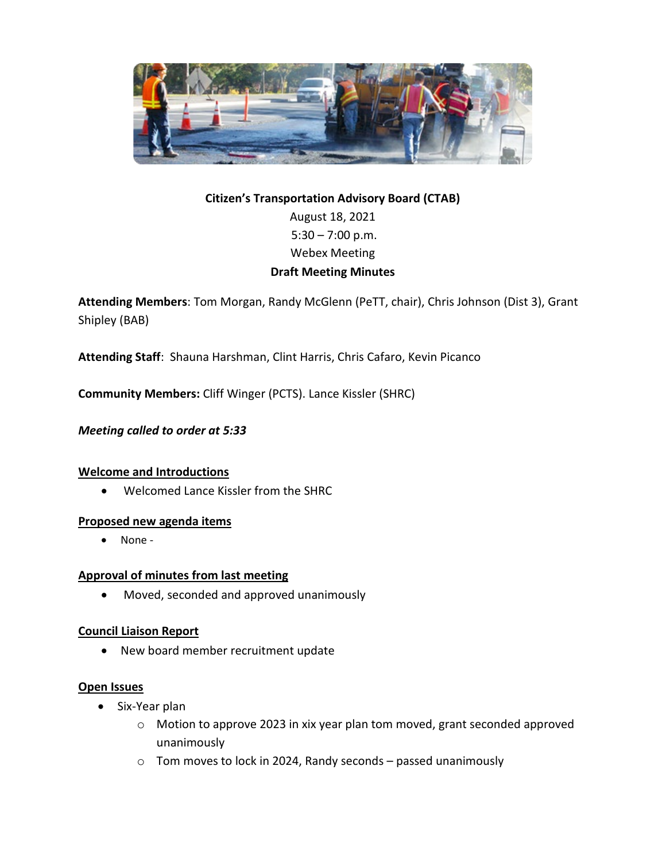

# **Citizen's Transportation Advisory Board (CTAB)** August 18, 2021  $5:30 - 7:00$  p.m. Webex Meeting **Draft Meeting Minutes**

**Attending Members**: Tom Morgan, Randy McGlenn (PeTT, chair), Chris Johnson (Dist 3), Grant Shipley (BAB)

**Attending Staff**: Shauna Harshman, Clint Harris, Chris Cafaro, Kevin Picanco

**Community Members:** Cliff Winger (PCTS). Lance Kissler (SHRC)

*Meeting called to order at 5:33*

# **Welcome and Introductions**

• Welcomed Lance Kissler from the SHRC

# **Proposed new agenda items**

• None -

# **Approval of minutes from last meeting**

• Moved, seconded and approved unanimously

# **Council Liaison Report**

• New board member recruitment update

#### **Open Issues**

- Six-Year plan
	- o Motion to approve 2023 in xix year plan tom moved, grant seconded approved unanimously
	- o Tom moves to lock in 2024, Randy seconds passed unanimously